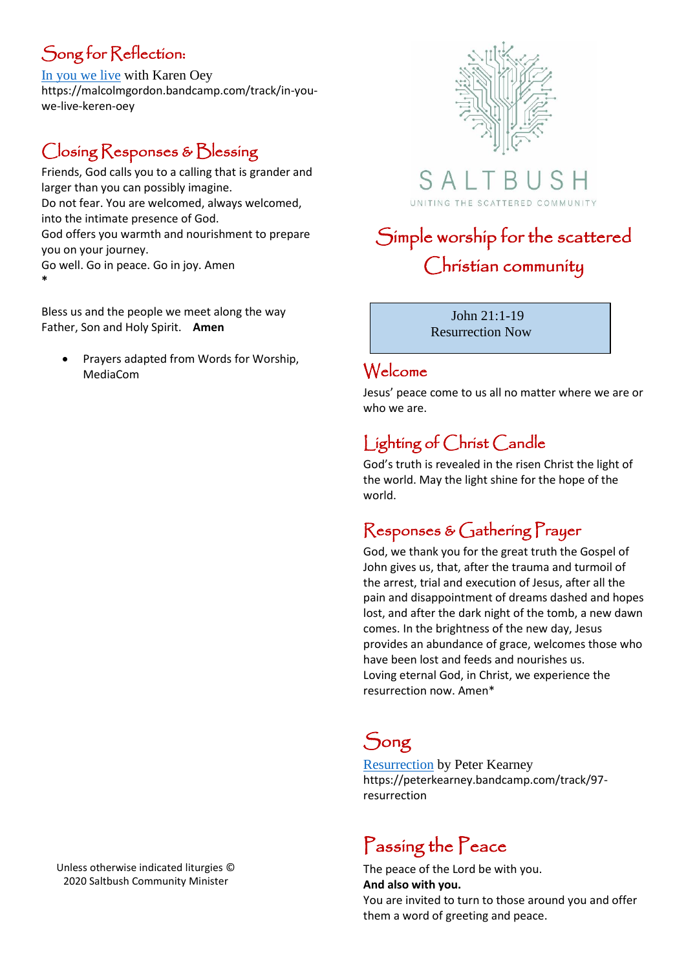## Song for Reflection:

[In you we live](https://malcolmgordon.bandcamp.com/track/in-you-we-live-keren-oey) with Karen Oey https://malcolmgordon.bandcamp.com/track/in-youwe-live-keren-oey

## Closing Responses & Blessing

Friends, God calls you to a calling that is grander and larger than you can possibly imagine. Do not fear. You are welcomed, always welcomed, into the intimate presence of God. God offers you warmth and nourishment to prepare you on your journey. Go well. Go in peace. Go in joy. Amen **\***

Bless us and the people we meet along the way Father, Son and Holy Spirit. **Amen**

• Prayers adapted from Words for Worship, MediaCom



 $S$  A  $\vdash$ UNITING THE SCATTERED COMMUNITY

# Simple worship for the scattered Christian community

 John 21:1-19 Resurrection Now

#### Welcome

Jesus' peace come to us all no matter where we are or who we are.

## Lighting of Christ Candle

God's truth is revealed in the risen Christ the light of the world. May the light shine for the hope of the world.

#### Responses & Gathering Prayer

God, we thank you for the great truth the Gospel of John gives us, that, after the trauma and turmoil of the arrest, trial and execution of Jesus, after all the pain and disappointment of dreams dashed and hopes lost, and after the dark night of the tomb, a new dawn comes. In the brightness of the new day, Jesus provides an abundance of grace, welcomes those who have been lost and feeds and nourishes us. Loving eternal God, in Christ, we experience the resurrection now. Amen\*

## Song

[Resurrection](https://peterkearney.bandcamp.com/track/97-resurrection) by Peter Kearney https://peterkearney.bandcamp.com/track/97 resurrection

# Passing the Peace

The peace of the Lord be with you. **And also with you.** You are invited to turn to those around you and offer them a word of greeting and peace.

Unless otherwise indicated liturgies © 2020 Saltbush Community Minister